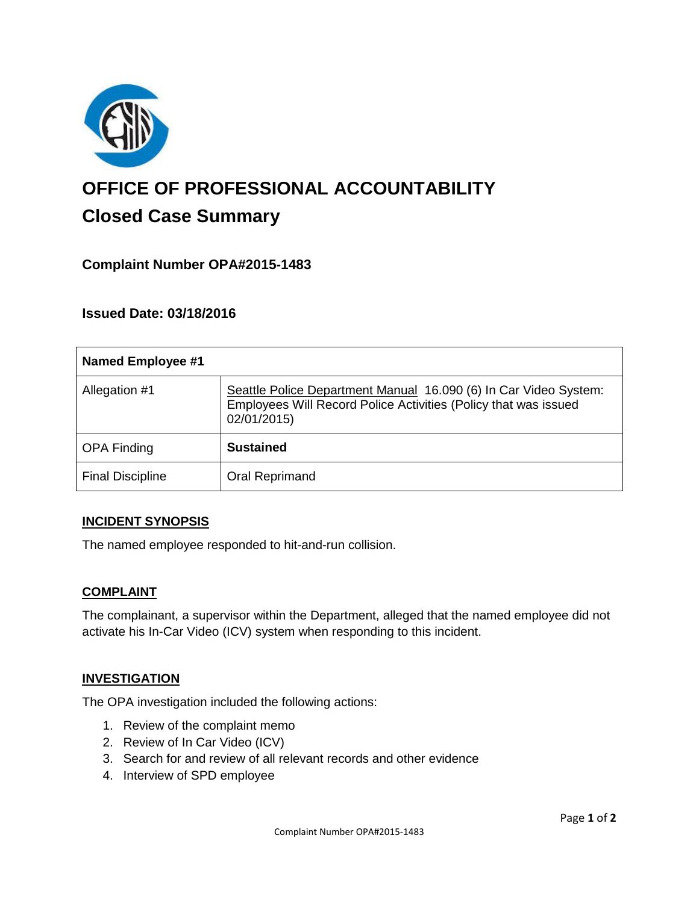

# **OFFICE OF PROFESSIONAL ACCOUNTABILITY Closed Case Summary**

## **Complaint Number OPA#2015-1483**

**Issued Date: 03/18/2016**

| <b>Named Employee #1</b> |                                                                                                                                                    |
|--------------------------|----------------------------------------------------------------------------------------------------------------------------------------------------|
| Allegation #1            | Seattle Police Department Manual 16.090 (6) In Car Video System:<br>Employees Will Record Police Activities (Policy that was issued<br>02/01/2015) |
| <b>OPA Finding</b>       | <b>Sustained</b>                                                                                                                                   |
| <b>Final Discipline</b>  | <b>Oral Reprimand</b>                                                                                                                              |

#### **INCIDENT SYNOPSIS**

The named employee responded to hit-and-run collision.

#### **COMPLAINT**

The complainant, a supervisor within the Department, alleged that the named employee did not activate his In-Car Video (ICV) system when responding to this incident.

#### **INVESTIGATION**

The OPA investigation included the following actions:

- 1. Review of the complaint memo
- 2. Review of In Car Video (ICV)
- 3. Search for and review of all relevant records and other evidence
- 4. Interview of SPD employee